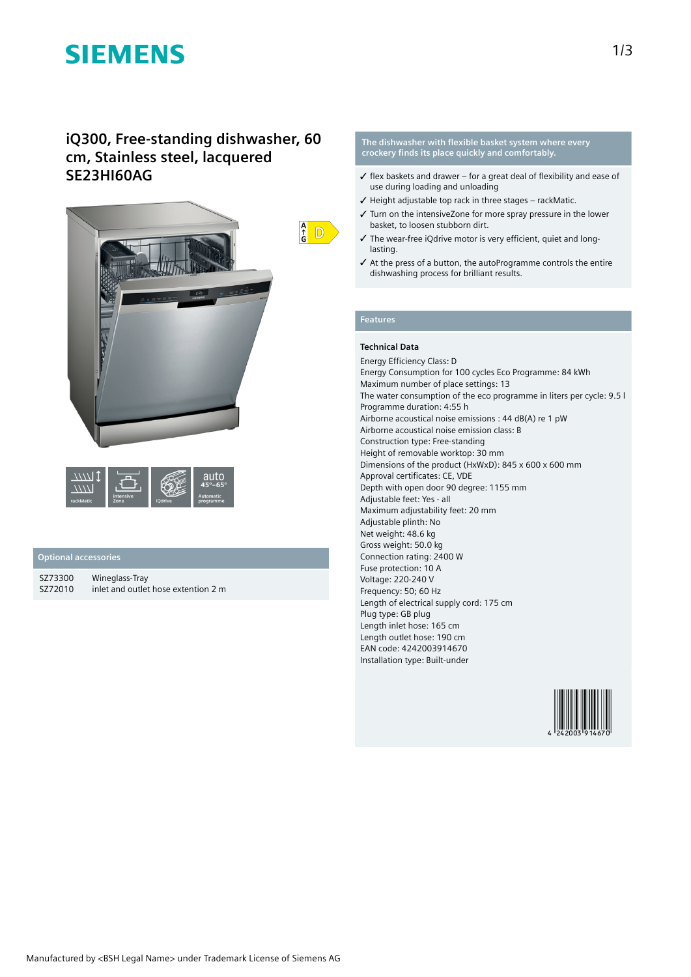# **SIEMENS**

## **iQ300, Free-standing dishwasher, 60 cm, Stainless steel, lacquered SE23HI60AG**



|           |                   |         | я<br>65°                      |
|-----------|-------------------|---------|-------------------------------|
| rackMatic | intensive<br>Zone | iOdrive | <b>Automatic</b><br>programme |

### **Optional accessories**

| SZ73300 | Wineglass-Tray                      |
|---------|-------------------------------------|
| SZ72010 | inlet and outlet hose extention 2 m |

**The dishwasher with flexible basket system where every crockery finds its place quickly and comfortably.**

- $\checkmark$  flex baskets and drawer for a great deal of flexibility and ease of use during loading and unloading
- $\checkmark$  Height adjustable top rack in three stages rackMatic.
- ✓ Turn on the intensiveZone for more spray pressure in the lower basket, to loosen stubborn dirt.
- ✓ The wear-free iQdrive motor is very efficient, quiet and longlasting.
- ✓ At the press of a button, the autoProgramme controls the entire dishwashing process for brilliant results.

### **Features**

 $\frac{A}{G}$  D

### **Technical Data**

Energy Efficiency Class: D Energy Consumption for 100 cycles Eco Programme: 84 kWh Maximum number of place settings: 13 The water consumption of the eco programme in liters per cycle: 9.5 l Programme duration: 4:55 h Airborne acoustical noise emissions : 44 dB(A) re 1 pW Airborne acoustical noise emission class: B Construction type: Free-standing Height of removable worktop: 30 mm Dimensions of the product (HxWxD): 845 x 600 x 600 mm Approval certificates: CE, VDE Depth with open door 90 degree: 1155 mm Adjustable feet: Yes - all Maximum adjustability feet: 20 mm Adjustable plinth: No Net weight: 48.6 kg Gross weight: 50.0 kg Connection rating: 2400 W Fuse protection: 10 A Voltage: 220-240 V Frequency: 50; 60 Hz Length of electrical supply cord: 175 cm Plug type: GB plug Length inlet hose: 165 cm Length outlet hose: 190 cm EAN code: 4242003914670 Installation type: Built-under

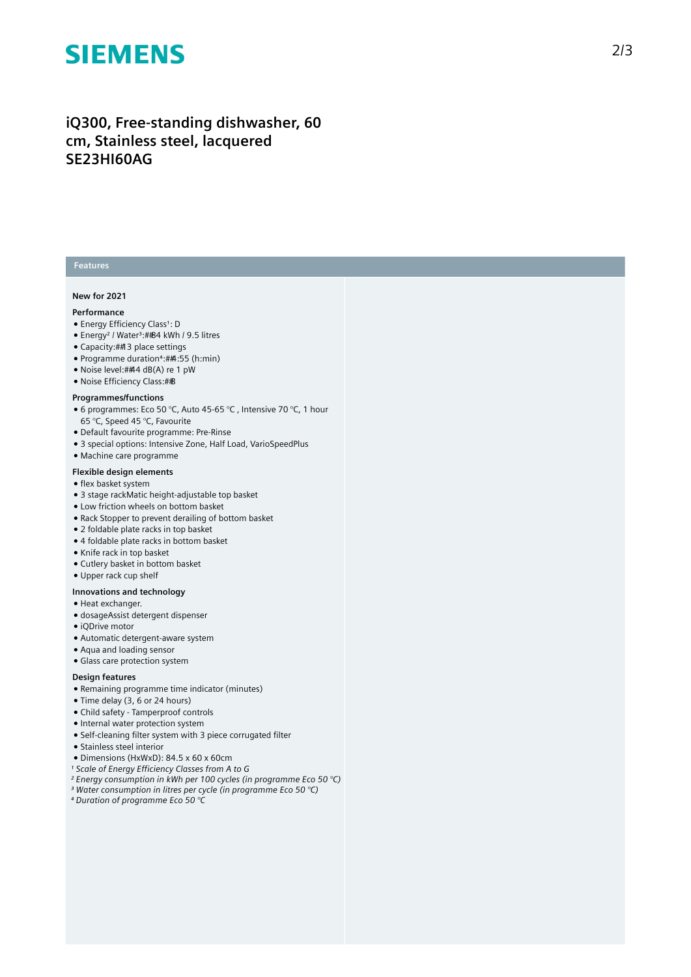# **SIEMENS**

## iQ300, Free-standing dishwasher, 60 cm, Stainless steel, lacquered **S E 2 3 H I 6 0 A G**

#### **Features**

#### **N e w f o r 2 0 2 1**

#### **P e r f o r m a n c e**

- Energy Efficiency Class<sup>1</sup>: D
- Energy<sup>2</sup> / Water<sup>3</sup>:##84 kWh / 9.5 litres
- Capacity: ## 3 place settings
- Programme duration<sup>4</sup>:##4:55 (h:min)
- Noise level:##4 dB(A) re 1 pW
- Noise Efficiency Class:##B

#### **Programmes/functions**

- $\bullet$  6 programmes: Eco 50 °C, Auto 45-65 °C , Intensive 70 °C, 1 hour 65 °C, Speed 45 °C, Favourite
- Default favourite programme: Pre-Rinse
- 3 special options: Intensive Zone, Half Load, VarioSpeedPlus
- Machine care programme

#### **Flexible design elements**

- flex basket system
- $\bullet$  3 stage rackMatic height-adjustable top basket
- Low friction wheels on bottom basket
- Rack Stopper to prevent derailing of bottom basket
- 2 foldable plate racks in top basket
- 4 foldable plate racks in bottom basket
- Knife rack in top basket
- Cutlery basket in bottom basket
- Upper rack cup shelf

#### **lnnovations and technology**

- Heat exchanger.
- dosageAssist detergent dispenser
- $\bullet$  iQDrive motor
- Automatic detergent-aware system
- Aqua and loading sensor
- Glass care protection system

#### Design features

- Remaining programme time indicator (minutes)
- Time delay (3, 6 or 24 hours)
- Child safety Tamperproof controls
- Internal water protection system
- Self-cleaning filter system with 3 piece corrugated filter
- Stainless steel interior
- Dimensions (HxWxD): 84.5 x 60 x 60cm
- *¹ Scale of Energy Efficiency Classes from A to G*
- *² Energy consumption in kWh per 100 cycles (in programme Eco 50 °C)*
- *³ Water consumption in litres per cycle (in programme Eco 50 °C)*
- *⁴ Duration of programme Eco 50 °C*